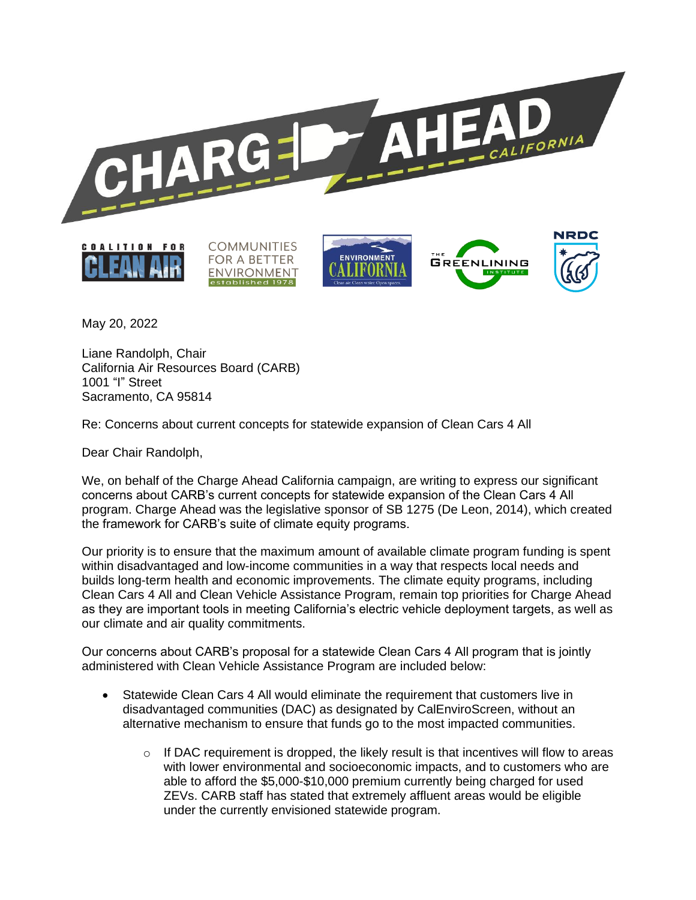

May 20, 2022

Liane Randolph, Chair California Air Resources Board (CARB) 1001 "I" Street Sacramento, CA 95814

Re: Concerns about current concepts for statewide expansion of Clean Cars 4 All

Dear Chair Randolph,

We, on behalf of the Charge Ahead California campaign, are writing to express our significant concerns about CARB's current concepts for statewide expansion of the Clean Cars 4 All program. Charge Ahead was the legislative sponsor of SB 1275 (De Leon, 2014), which created the framework for CARB's suite of climate equity programs.

Our priority is to ensure that the maximum amount of available climate program funding is spent within disadvantaged and low-income communities in a way that respects local needs and builds long-term health and economic improvements. The climate equity programs, including Clean Cars 4 All and Clean Vehicle Assistance Program, remain top priorities for Charge Ahead as they are important tools in meeting California's electric vehicle deployment targets, as well as our climate and air quality commitments.

Our concerns about CARB's proposal for a statewide Clean Cars 4 All program that is jointly administered with Clean Vehicle Assistance Program are included below:

- Statewide Clean Cars 4 All would eliminate the requirement that customers live in disadvantaged communities (DAC) as designated by CalEnviroScreen, without an alternative mechanism to ensure that funds go to the most impacted communities.
	- $\circ$  If DAC requirement is dropped, the likely result is that incentives will flow to areas with lower environmental and socioeconomic impacts, and to customers who are able to afford the \$5,000-\$10,000 premium currently being charged for used ZEVs. CARB staff has stated that extremely affluent areas would be eligible under the currently envisioned statewide program.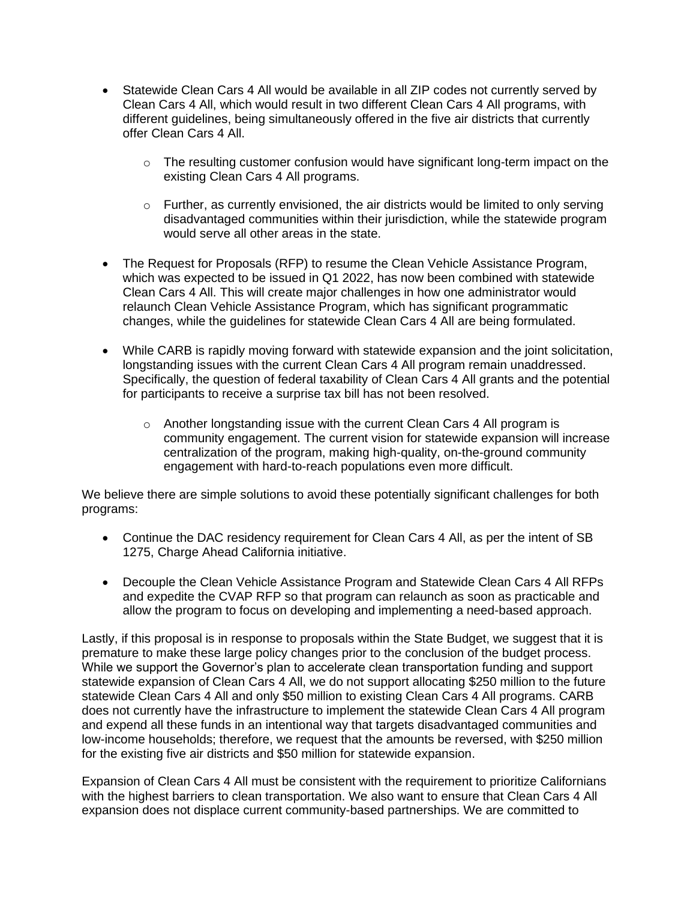- Statewide Clean Cars 4 All would be available in all ZIP codes not currently served by Clean Cars 4 All, which would result in two different Clean Cars 4 All programs, with different guidelines, being simultaneously offered in the five air districts that currently offer Clean Cars 4 All.
	- $\circ$  The resulting customer confusion would have significant long-term impact on the existing Clean Cars 4 All programs.
	- $\circ$  Further, as currently envisioned, the air districts would be limited to only serving disadvantaged communities within their jurisdiction, while the statewide program would serve all other areas in the state.
- The Request for Proposals (RFP) to resume the Clean Vehicle Assistance Program, which was expected to be issued in Q1 2022, has now been combined with statewide Clean Cars 4 All. This will create major challenges in how one administrator would relaunch Clean Vehicle Assistance Program, which has significant programmatic changes, while the guidelines for statewide Clean Cars 4 All are being formulated.
- While CARB is rapidly moving forward with statewide expansion and the joint solicitation, longstanding issues with the current Clean Cars 4 All program remain unaddressed. Specifically, the question of federal taxability of Clean Cars 4 All grants and the potential for participants to receive a surprise tax bill has not been resolved.
	- $\circ$  Another longstanding issue with the current Clean Cars 4 All program is community engagement. The current vision for statewide expansion will increase centralization of the program, making high-quality, on-the-ground community engagement with hard-to-reach populations even more difficult.

We believe there are simple solutions to avoid these potentially significant challenges for both programs:

- Continue the DAC residency requirement for Clean Cars 4 All, as per the intent of SB 1275, Charge Ahead California initiative.
- Decouple the Clean Vehicle Assistance Program and Statewide Clean Cars 4 All RFPs and expedite the CVAP RFP so that program can relaunch as soon as practicable and allow the program to focus on developing and implementing a need-based approach.

Lastly, if this proposal is in response to proposals within the State Budget, we suggest that it is premature to make these large policy changes prior to the conclusion of the budget process. While we support the Governor's plan to accelerate clean transportation funding and support statewide expansion of Clean Cars 4 All, we do not support allocating \$250 million to the future statewide Clean Cars 4 All and only \$50 million to existing Clean Cars 4 All programs. CARB does not currently have the infrastructure to implement the statewide Clean Cars 4 All program and expend all these funds in an intentional way that targets disadvantaged communities and low-income households; therefore, we request that the amounts be reversed, with \$250 million for the existing five air districts and \$50 million for statewide expansion.

Expansion of Clean Cars 4 All must be consistent with the requirement to prioritize Californians with the highest barriers to clean transportation. We also want to ensure that Clean Cars 4 All expansion does not displace current community-based partnerships. We are committed to